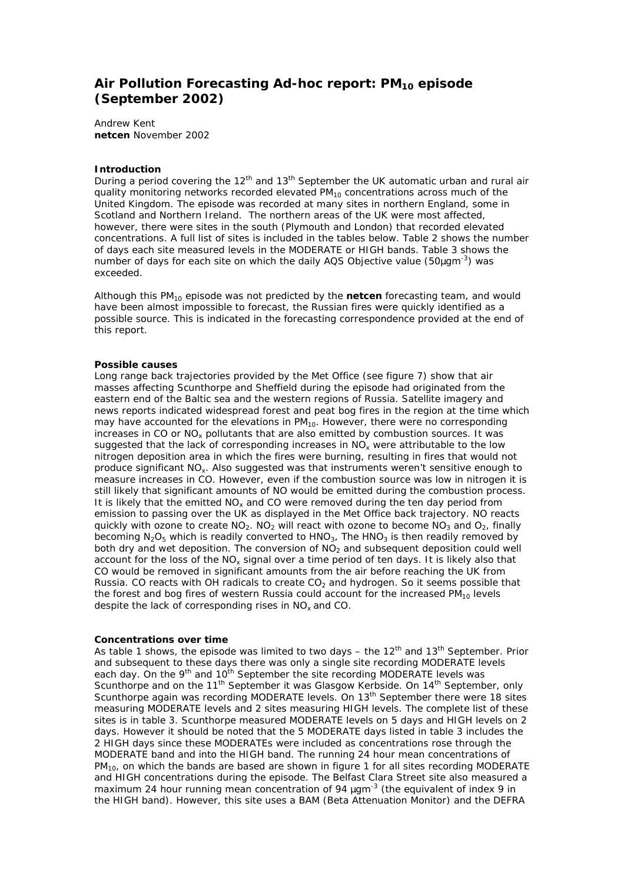# **Air Pollution Forecasting Ad-hoc report: PM10 episode (September 2002)**

Andrew Kent **netcen** November 2002

#### **Introduction**

During a period covering the  $12<sup>th</sup>$  and  $13<sup>th</sup>$  September the UK automatic urban and rural air quality monitoring networks recorded elevated  $PM_{10}$  concentrations across much of the United Kingdom. The episode was recorded at many sites in northern England, some in Scotland and Northern Ireland. The northern areas of the UK were most affected, however, there were sites in the south (Plymouth and London) that recorded elevated concentrations. A full list of sites is included in the tables below. Table 2 shows the number of days each site measured levels in the MODERATE or HIGH bands. Table 3 shows the number of days for each site on which the daily AQS Objective value (50*m*gm-3) was exceeded.

Although this PM10 episode was not predicted by the **netcen** forecasting team, and would have been almost impossible to forecast, the Russian fires were quickly identified as a possible source. This is indicated in the forecasting correspondence provided at the end of this report.

#### **Possible causes**

Long range back trajectories provided by the Met Office (see figure 7) show that air masses affecting Scunthorpe and Sheffield during the episode had originated from the eastern end of the Baltic sea and the western regions of Russia. Satellite imagery and news reports indicated widespread forest and peat bog fires in the region at the time which may have accounted for the elevations in  $PM_{10}$ . However, there were no corresponding increases in CO or  $NO_x$  pollutants that are also emitted by combustion sources. It was suggested that the lack of corresponding increases in  $NO<sub>x</sub>$  were attributable to the low nitrogen deposition area in which the fires were burning, resulting in fires that would not produce significant NOx. Also suggested was that instruments weren't sensitive enough to measure increases in CO. However, even if the combustion source was low in nitrogen it is still likely that significant amounts of NO would be emitted during the combustion process. It is likely that the emitted  $NO<sub>x</sub>$  and CO were removed during the ten day period from emission to passing over the UK as displayed in the Met Office back trajectory. NO reacts quickly with ozone to create  $NO<sub>2</sub>$ . NO<sub>2</sub> will react with ozone to become  $NO<sub>3</sub>$  and O<sub>2</sub>, finally becoming  $N_2O_5$  which is readily converted to HNO<sub>3</sub>, The HNO<sub>3</sub> is then readily removed by both dry and wet deposition. The conversion of  $NO<sub>2</sub>$  and subsequent deposition could well account for the loss of the  $NO_x$  signal over a time period of ten days. It is likely also that CO would be removed in significant amounts from the air before reaching the UK from Russia. CO reacts with OH radicals to create  $CO<sub>2</sub>$  and hydrogen. So it seems possible that the forest and bog fires of western Russia could account for the increased  $PM_{10}$  levels despite the lack of corresponding rises in NO<sub>x</sub> and CO.

### **Concentrations over time**

As table 1 shows, the episode was limited to two days – the  $12<sup>th</sup>$  and  $13<sup>th</sup>$  September. Prior and subsequent to these days there was only a single site recording MODERATE levels each day. On the 9<sup>th</sup> and 10<sup>th</sup> September the site recording MODERATE levels was Scunthorpe and on the 11<sup>th</sup> September it was Glasgow Kerbside. On 14<sup>th</sup> September, only Scunthorpe again was recording MODERATE levels. On  $13<sup>th</sup>$  September there were 18 sites measuring MODERATE levels and 2 sites measuring HIGH levels. The complete list of these sites is in table 3. Scunthorpe measured MODERATE levels on 5 days and HIGH levels on 2 days. However it should be noted that the 5 MODERATE days listed in table 3 includes the 2 HIGH days since these MODERATEs were included as concentrations rose through the MODERATE band and into the HIGH band. The running 24 hour mean concentrations of PM<sub>10</sub>, on which the bands are based are shown in figure 1 for all sites recording MODERATE and HIGH concentrations during the episode. The Belfast Clara Street site also measured a maximum 24 hour running mean concentration of 94 *m*gm-3 (the equivalent of index 9 in the HIGH band). However, this site uses a BAM (Beta Attenuation Monitor) and the DEFRA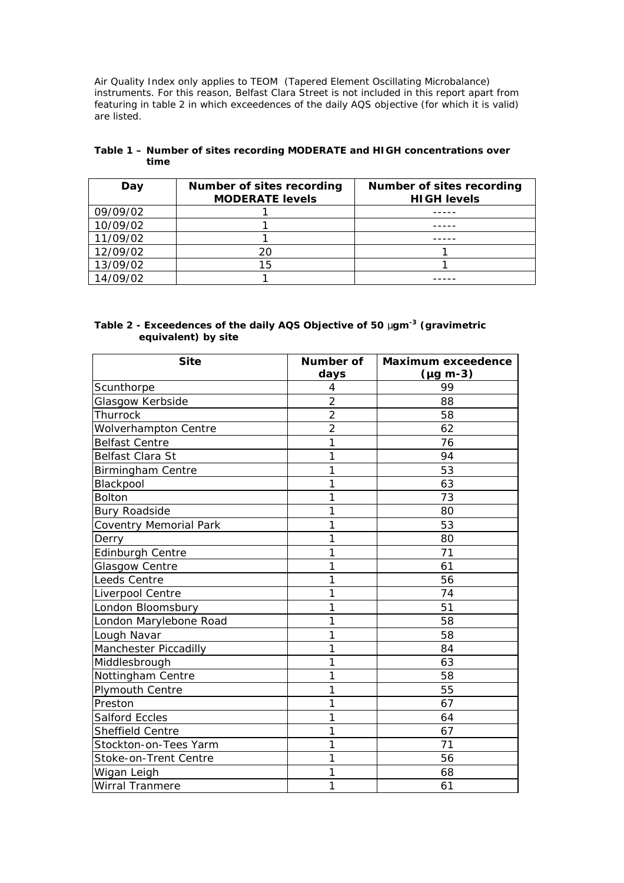Air Quality Index only applies to TEOM (Tapered Element Oscillating Microbalance) instruments. For this reason, Belfast Clara Street is not included in this report apart from featuring in table 2 in which exceedences of the daily AQS objective (for which it is valid) are listed.

| Day      | Number of sites recording<br><b>MODERATE levels</b> | Number of sites recording<br><b>HIGH levels</b> |
|----------|-----------------------------------------------------|-------------------------------------------------|
| 09/09/02 |                                                     |                                                 |
| 10/09/02 |                                                     |                                                 |
| 11/09/02 |                                                     |                                                 |
| 12/09/02 | 20                                                  |                                                 |
| 13/09/02 | 15                                                  |                                                 |
| 14/09/02 |                                                     |                                                 |

## **Table 1 – Number of sites recording MODERATE and HIGH concentrations over time**

# **Table 2 - Exceedences of the daily AQS Objective of 50** *m***gm-3 (gravimetric equivalent) by site**

| <b>Site</b>              | Number of      | <b>Maximum exceedence</b> |  |
|--------------------------|----------------|---------------------------|--|
|                          | days           | $(\mu g \, m-3)$          |  |
| Scunthorpe               | 4              | 99                        |  |
| Glasgow Kerbside         | $\overline{2}$ | 88                        |  |
| Thurrock                 | $\overline{2}$ | 58                        |  |
| Wolverhampton Centre     | $\overline{2}$ | 62                        |  |
| <b>Belfast Centre</b>    | 1              | 76                        |  |
| Belfast Clara St         | 1              | 94                        |  |
| <b>Birmingham Centre</b> | 1              | 53                        |  |
| Blackpool                | 1              | 63                        |  |
| <b>Bolton</b>            | 1              | 73                        |  |
| <b>Bury Roadside</b>     | 1              | 80                        |  |
| Coventry Memorial Park   | 1              | 53                        |  |
| Derry                    | 1              | 80                        |  |
| <b>Edinburgh Centre</b>  | 1              | 71                        |  |
| Glasgow Centre           | 1              | 61                        |  |
| <b>Leeds Centre</b>      | 1              | 56                        |  |
| Liverpool Centre         | 1              | 74                        |  |
| London Bloomsbury        | 1              | 51                        |  |
| London Marylebone Road   | 1              | 58                        |  |
| Lough Navar              | 1              | 58                        |  |
| Manchester Piccadilly    | 1              | 84                        |  |
| Middlesbrough            | 1              | 63                        |  |
| Nottingham Centre        | 1              | 58                        |  |
| Plymouth Centre          | 1              | 55                        |  |
| Preston                  | 1              | 67                        |  |
| <b>Salford Eccles</b>    | 1              | 64                        |  |
| <b>Sheffield Centre</b>  | 1              | 67                        |  |
| Stockton-on-Tees Yarm    | 1              | 71                        |  |
| Stoke-on-Trent Centre    | 1              | 56                        |  |
| Wigan Leigh              | 1              | 68                        |  |
| <b>Wirral Tranmere</b>   | 1              | 61                        |  |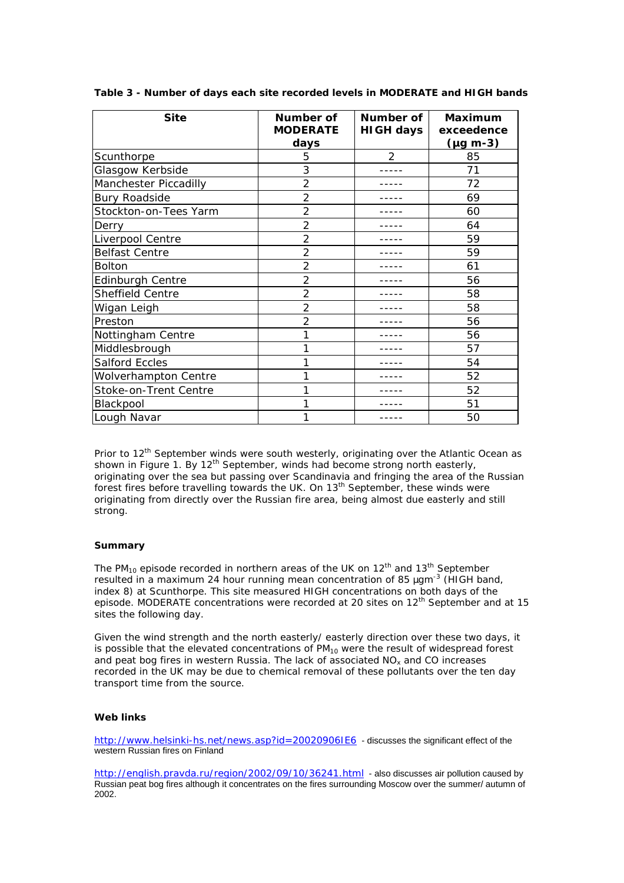| <b>Site</b>                 | Number of<br><b>MODERATE</b> | Number of<br><b>HIGH days</b> | <b>Maximum</b><br>exceedence |
|-----------------------------|------------------------------|-------------------------------|------------------------------|
|                             | days                         |                               | $(\mu g \text{ m-3})$        |
| Scunthorpe                  | 5                            | $\overline{2}$                | 85                           |
| Glasgow Kerbside            | 3                            |                               | 71                           |
| Manchester Piccadilly       | 2                            |                               | 72                           |
| <b>Bury Roadside</b>        | 2                            |                               | 69                           |
| Stockton-on-Tees Yarm       | $\overline{2}$               |                               | 60                           |
| Derry                       | $\overline{2}$               |                               | 64                           |
| Liverpool Centre            | 2                            |                               | 59                           |
| <b>Belfast Centre</b>       | $\overline{2}$               |                               | 59                           |
| <b>Bolton</b>               | $\overline{2}$               |                               | 61                           |
| <b>Edinburgh Centre</b>     | $\overline{2}$               |                               | 56                           |
| Sheffield Centre            | $\overline{2}$               |                               | 58                           |
| Wigan Leigh                 | $\overline{2}$               |                               | 58                           |
| Preston                     | 2                            |                               | 56                           |
| Nottingham Centre           |                              |                               | 56                           |
| Middlesbrough               |                              |                               | 57                           |
| <b>Salford Eccles</b>       |                              |                               | 54                           |
| <b>Wolverhampton Centre</b> |                              |                               | 52                           |
| Stoke-on-Trent Centre       |                              |                               | 52                           |
| Blackpool                   |                              |                               | 51                           |
| Lough Navar                 |                              |                               | 50                           |

**Table 3 - Number of days each site recorded levels in MODERATE and HIGH bands**

Prior to  $12<sup>th</sup>$  September winds were south westerly, originating over the Atlantic Ocean as shown in Figure 1. By 12<sup>th</sup> September, winds had become strong north easterly, originating over the sea but passing over Scandinavia and fringing the area of the Russian forest fires before travelling towards the UK. On 13<sup>th</sup> September, these winds were originating from directly over the Russian fire area, being almost due easterly and still strong.

### **Summary**

The PM<sub>10</sub> episode recorded in northern areas of the UK on  $12<sup>th</sup>$  and  $13<sup>th</sup>$  September resulted in a maximum 24 hour running mean concentration of 85 *m*gm-3 (HIGH band, index 8) at Scunthorpe. This site measured HIGH concentrations on both days of the episode. MODERATE concentrations were recorded at 20 sites on 12<sup>th</sup> September and at 15 sites the following day.

Given the wind strength and the north easterly/ easterly direction over these two days, it is possible that the elevated concentrations of  $PM_{10}$  were the result of widespread forest and peat bog fires in western Russia. The lack of associated  $NO<sub>x</sub>$  and CO increases recorded in the UK may be due to chemical removal of these pollutants over the ten day transport time from the source.

#### **Web links**

http://www.helsinki-hs.net/news.asp?id=20020906IE6 - discusses the significant effect of the western Russian fires on Finland

http://english.pravda.ru/region/2002/09/10/36241.html - also discusses air pollution caused by Russian peat bog fires although it concentrates on the fires surrounding Moscow over the summer/ autumn of 2002.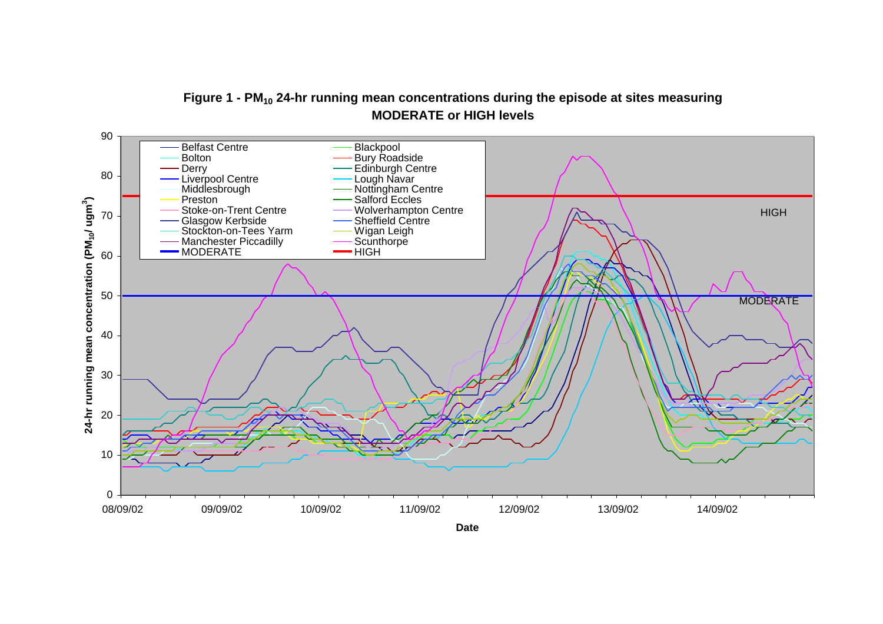



**Date**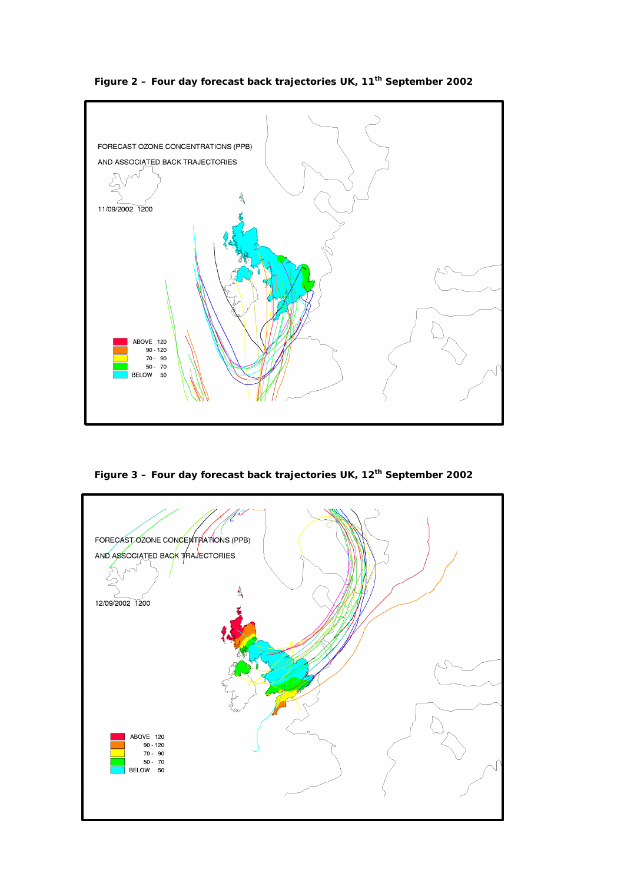

**Figure 2 – Four day forecast back trajectories UK, 11th September 2002**

**Figure 3 – Four day forecast back trajectories UK, 12th September 2002**

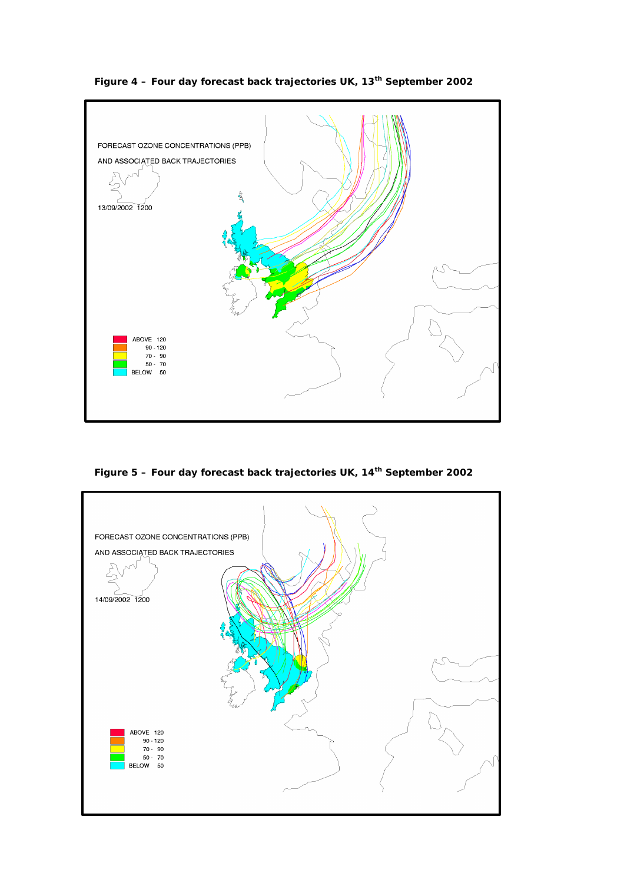

**Figure 4 – Four day forecast back trajectories UK, 13th September 2002**

**Figure 5 – Four day forecast back trajectories UK, 14th September 2002**

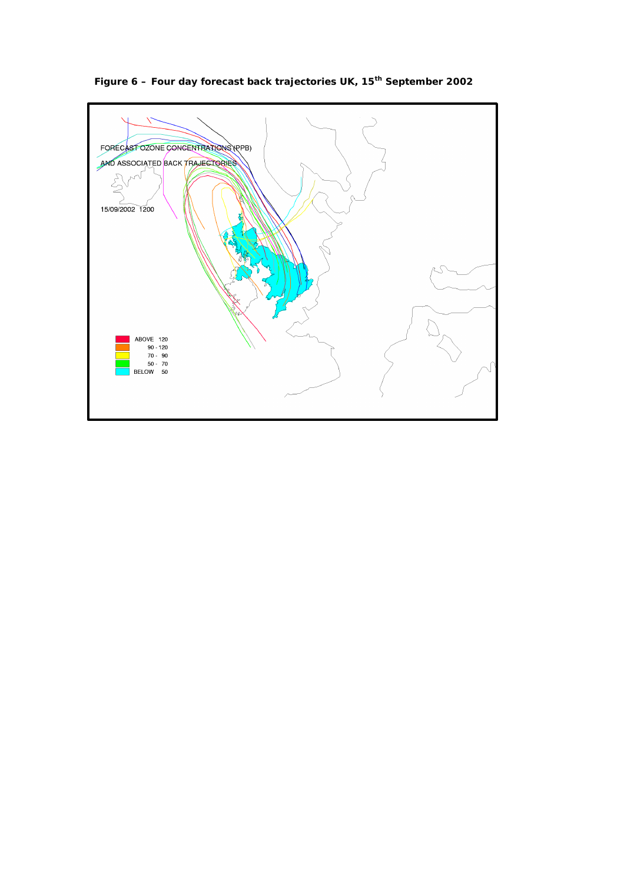

**Figure 6 – Four day forecast back trajectories UK, 15th September 2002**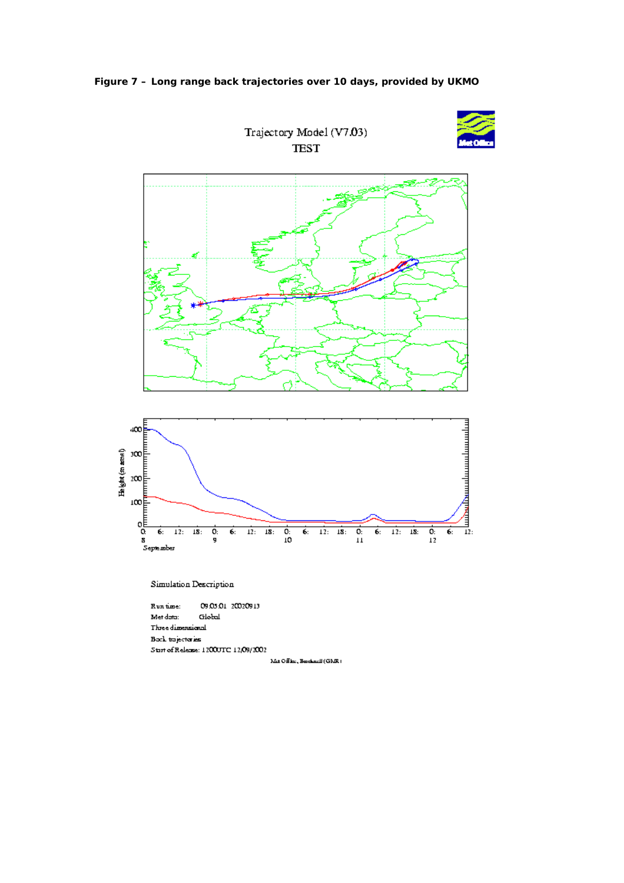



Mit Office, Beschneid (GMR)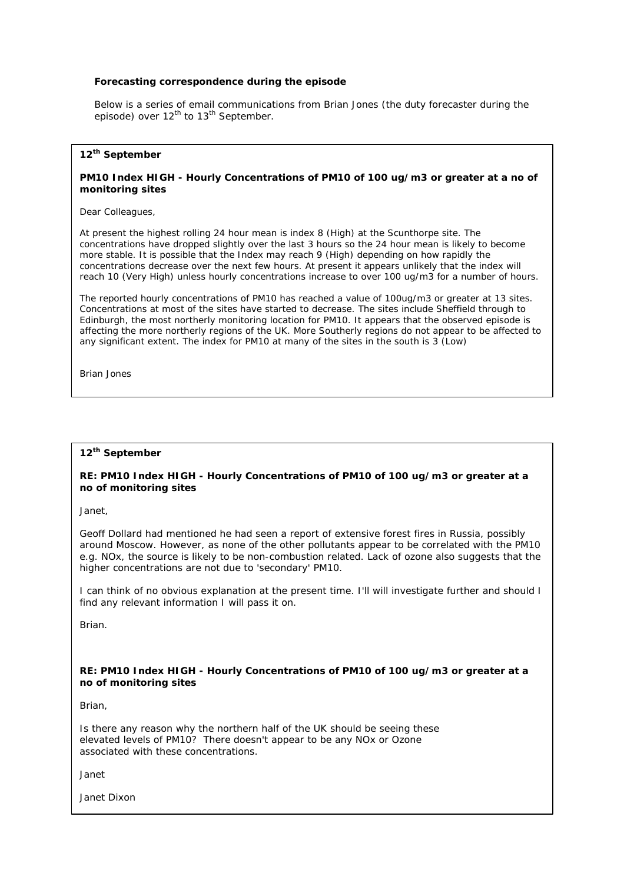### **Forecasting correspondence during the episode**

Below is a series of email communications from Brian Jones (the duty forecaster during the episode) over 12<sup>th</sup> to 13<sup>th</sup> September.

## **12th September**

### **PM10 Index HIGH - Hourly Concentrations of PM10 of 100 ug/m3 or greater at a no of monitoring sites**

Dear Colleagues,

At present the highest rolling 24 hour mean is index 8 (High) at the Scunthorpe site. The concentrations have dropped slightly over the last 3 hours so the 24 hour mean is likely to become more stable. It is possible that the Index may reach 9 (High) depending on how rapidly the concentrations decrease over the next few hours. At present it appears unlikely that the index will reach 10 (Very High) unless hourly concentrations increase to over 100 ug/m3 for a number of hours.

The reported hourly concentrations of PM10 has reached a value of 100ug/m3 or greater at 13 sites. Concentrations at most of the sites have started to decrease. The sites include Sheffield through to Edinburgh, the most northerly monitoring location for PM10. It appears that the observed episode is affecting the more northerly regions of the UK. More Southerly regions do not appear to be affected to any significant extent. The index for PM10 at many of the sites in the south is 3 (Low)

Brian Jones

# **12th September**

### **RE: PM10 Index HIGH - Hourly Concentrations of PM10 of 100 ug/m3 or greater at a no of monitoring sites**

Janet,

Geoff Dollard had mentioned he had seen a report of extensive forest fires in Russia, possibly around Moscow. However, as none of the other pollutants appear to be correlated with the PM10 e.g. NOx, the source is likely to be non-combustion related. Lack of ozone also suggests that the higher concentrations are not due to 'secondary' PM10.

I can think of no obvious explanation at the present time. I'll will investigate further and should I find any relevant information I will pass it on.

Brian.

### **RE: PM10 Index HIGH - Hourly Concentrations of PM10 of 100 ug/m3 or greater at a no of monitoring sites**

Brian,

Is there any reason why the northern half of the UK should be seeing these elevated levels of PM10? There doesn't appear to be any NOx or Ozone associated with these concentrations.

Janet

Janet Dixon